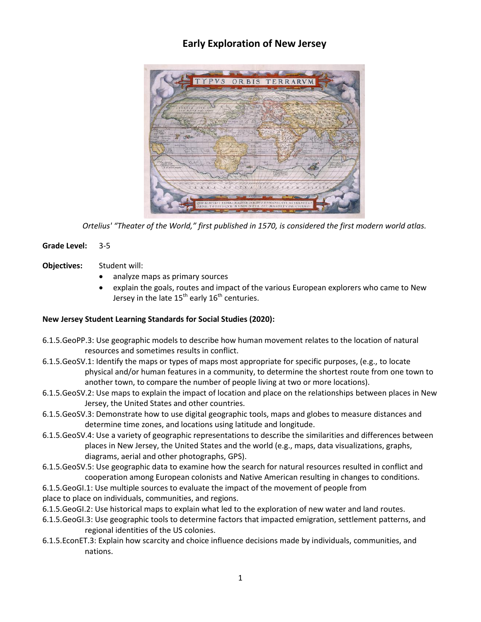# **Early Exploration of New Jersey**



*Ortelius' "Theater of the World," first published in 1570, is considered the first modern world atlas.*

- **Grade Level:** 3-5
- **Objectives:** Student will:
	- analyze maps as primary sources
	- explain the goals, routes and impact of the various European explorers who came to New Jersey in the late  $15^{th}$  early  $16^{th}$  centuries.

### **New Jersey Student Learning Standards for Social Studies (2020):**

- 6.1.5.GeoPP.3: Use geographic models to describe how human movement relates to the location of natural resources and sometimes results in conflict.
- 6.1.5.GeoSV.1: Identify the maps or types of maps most appropriate for specific purposes, (e.g., to locate physical and/or human features in a community, to determine the shortest route from one town to another town, to compare the number of people living at two or more locations).
- 6.1.5.GeoSV.2: Use maps to explain the impact of location and place on the relationships between places in New Jersey, the United States and other countries.
- 6.1.5.GeoSV.3: Demonstrate how to use digital geographic tools, maps and globes to measure distances and determine time zones, and locations using latitude and longitude.
- 6.1.5.GeoSV.4: Use a variety of geographic representations to describe the similarities and differences between places in New Jersey, the United States and the world (e.g., maps, data visualizations, graphs, diagrams, aerial and other photographs, GPS).
- 6.1.5.GeoSV.5: Use geographic data to examine how the search for natural resources resulted in conflict and cooperation among European colonists and Native American resulting in changes to conditions.
- 6.1.5.GeoGI.1: Use multiple sources to evaluate the impact of the movement of people from
- place to place on individuals, communities, and regions.
- 6.1.5.GeoGI.2: Use historical maps to explain what led to the exploration of new water and land routes.
- 6.1.5.GeoGI.3: Use geographic tools to determine factors that impacted emigration, settlement patterns, and regional identities of the US colonies.
- 6.1.5.EconET.3: Explain how scarcity and choice influence decisions made by individuals, communities, and nations.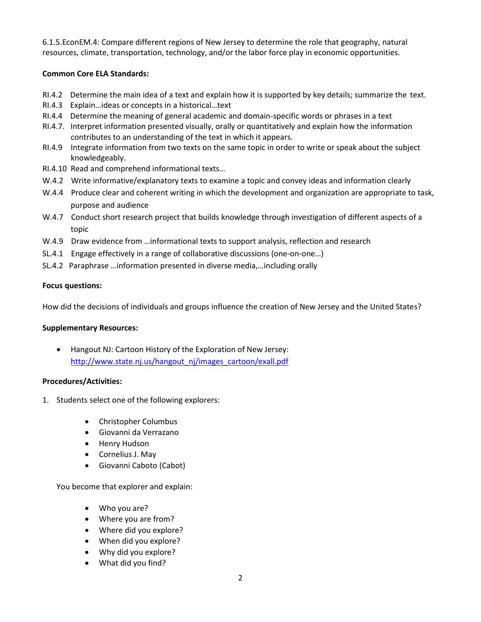6.1.5.EconEM.4: Compare different regions of New Jersey to determine the role that geography, natural resources, climate, transportation, technology, and/or the labor force play in economic opportunities.

## **Common Core ELA Standards:**

- RI.4.2 Determine the main idea of a text and explain how it is supported by key details; summarize the text.
- RI.4.3 Explain…ideas or concepts in a historical…text
- RI.4.4 Determine the meaning of general academic and domain-specific words or phrases in a text
- RI.4.7. Interpret information presented visually, orally or quantitatively and explain how the information contributes to an understanding of the text in which it appears.
- RI.4.9 Integrate information from two texts on the same topic in order to write or speak about the subject knowledgeably.
- RI.4.10 Read and comprehend informational texts…
- W.4.2 Write informative/explanatory texts to examine a topic and convey ideas and information clearly
- W.4.4 Produce clear and coherent writing in which the development and organization are appropriate to task, purpose and audience
- W.4.7 Conduct short research project that builds knowledge through investigation of different aspects of a topic
- W.4.9 Draw evidence from ...informational texts to support analysis, reflection and research
- SL.4.1 Engage effectively in a range of collaborative discussions (one-on-one…)
- SL.4.2 Paraphrase …information presented in diverse media,…including orally

### **Focus questions:**

How did the decisions of individuals and groups influence the creation of New Jersey and the United States?

### **Supplementary Resources:**

 Hangout NJ: Cartoon History of the Exploration of New Jersey: [http://www.state.nj.us/hangout\\_nj/images\\_cartoon/exall.pdf](http://www.state.nj.us/hangout_nj/images_cartoon/exall.pdf)

### **Procedures/Activities:**

- 1. Students select one of the following explorers:
	- Christopher Columbus
	- Giovanni da Verrazano
	- Henry Hudson
	- Cornelius J. May
	- Giovanni Caboto (Cabot)

You become that explorer and explain:

- Who you are?
- Where you are from?
- Where did you explore?
- When did you explore?
- Why did you explore?
- What did you find?